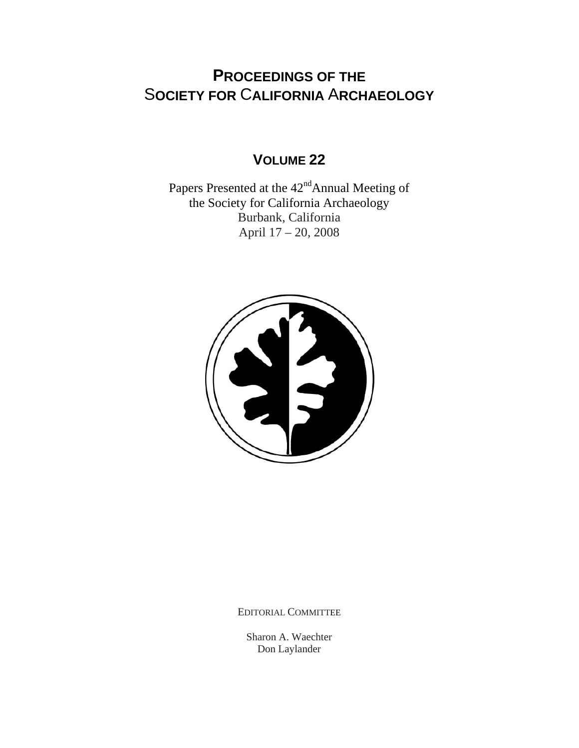# **PROCEEDINGS OF THE** S**OCIETY FOR** C**ALIFORNIA** A**RCHAEOLOGY**

## **VOLUME 22**

Papers Presented at the  $42<sup>nd</sup>$ Annual Meeting of the Society for California Archaeology Burbank, California April 17 – 20, 2008



EDITORIAL COMMITTEE

Sharon A. Waechter Don Laylander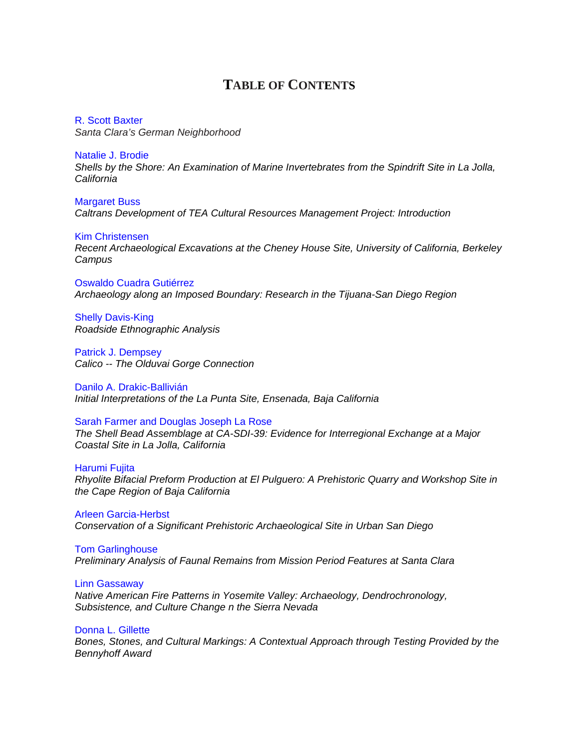### **TABLE OF CONTENTS**

R. Scott Baxter *[Santa Clara's German Neighborhood](http://www.scahome.org/publications/proceedings/Proceedings.22Baxter.pdf)*

Natalie J. Brodie *[Shells by the Shore: An Examination of Marine Invertebrates from the Spindrift Site in La Jolla,](http://www.scahome.org/publications/proceedings/Proceedings.22Brodie.pdf)  California*

Margaret Buss *[Caltrans Development of TEA Cultural Resources Management Project: Introduction](http://www.scahome.org/publications/proceedings/Proceedings.22Buss.pdf)*

Kim Christensen *[Recent Archaeological Excavations at the Cheney House Site, University of California, Berkeley](http://www.scahome.org/publications/proceedings/Proceedings.22Christensen.pdf)  Campus*

Oswaldo Cuadra Gutiérrez *[Archaeology along an Imposed Boundary: Research in the Tijuana-San Diego Region](http://www.scahome.org/publications/proceedings/Proceedings.22Cuadra.pdf)*

Shelly Davis-King *[Roadside Ethnographic Analysis](http://www.scahome.org/publications/proceedings/Proceedings.22Davis.pdf)*

Patrick J. Dempsey *[Calico -- The Olduvai Gorge Connection](http://www.scahome.org/publications/proceedings/Proceedings.22Dempsey.pdf)*

Danilo A. Drakic-Ballivián *[Initial Interpretations of the La Punta Site, Ensenada, Baja California](http://www.scahome.org/publications/proceedings/Proceedings.22Drakic.pdf)*

Sarah Farmer and Douglas Joseph La Rose

*[The Shell Bead Assemblage at CA-SDI-39: Evidence for Interregional Exchange at a Major](http://www.scahome.org/publications/proceedings/Proceedings.22Farmer.pdf)  Coastal Site in La Jolla, California*

Harumi Fujita *[Rhyolite Bifacial Preform Production at El Pulguero: A Prehistoric Quarry and Workshop Site in](http://www.scahome.org/publications/proceedings/Proceedings.22Fujita.pdf)  the Cape Region of Baja California*

Arleen Garcia-Herbst *[Conservation of a Significant Prehistoric Archaeological Site in Urban San Diego](http://www.scahome.org/publications/proceedings/Proceedings.22Garcia.pdf)*

Tom Garlinghouse *[Preliminary Analysis of Faunal Remains from Mission Period Features at Santa Clara](http://www.scahome.org/publications/proceedings/Proceedings.22Garlinghouse.pdf)*

Linn Gassaway *[Native American Fire Patterns in Yosemite Valley: Archaeology, Dendrochronology,](http://www.scahome.org/publications/proceedings/Proceedings.22Gassaway.pdf)  Subsistence, and Culture Change n the Sierra Nevada*

Donna L. Gillette *[Bones, Stones, and Cultural Markings: A Contextual Approach through Testing Provided by the](http://www.scahome.org/publications/proceedings/Proceedings.22Gillette.pdf)  Bennyhoff Award*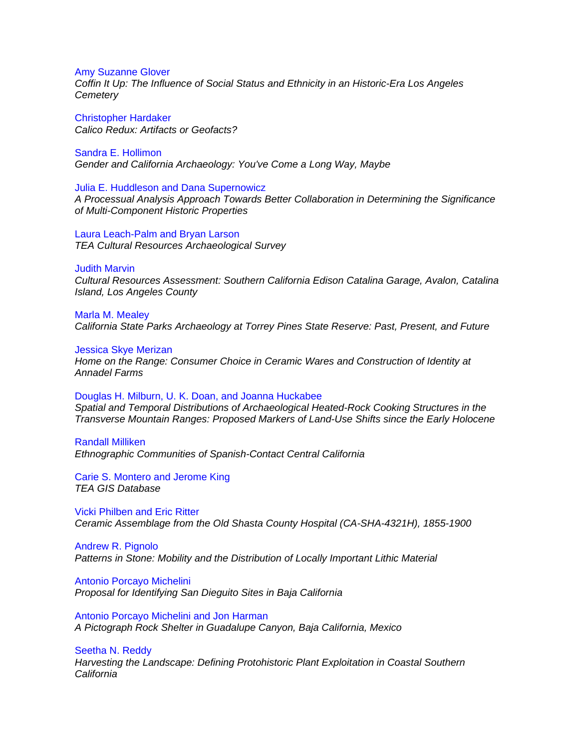#### Amy Suzanne Glover

*[Coffin It Up: The Influence of Social Status and Ethnicity in an Historic-Era Los Angeles](http://www.scahome.org/publications/proceedings/Proceedings.22Glover.pdf)  Cemetery*

Christopher Hardaker *[Calico Redux: Artifacts or Geofacts?](http://www.scahome.org/publications/proceedings/Proceedings.22Hardaker.pdf)*

Sandra E. Hollimon *[Gender and California Archaeology: You've Come a Long Way, Maybe](http://www.scahome.org/publications/proceedings/Proceedings.22Hollimon.pdf)*

Julia E. Huddleson and Dana Supernowicz *[A Processual Analysis Approach Towards Better Collaboration in Determining the Significance](http://www.scahome.org/publications/proceedings/Proceedings.22Huddleson.pdf)  of Multi-Component Historic Properties*

Laura Leach-Palm and Bryan Larson *[TEA Cultural Resources Archaeological Survey](http://www.scahome.org/publications/proceedings/Proceedings.22Leach.pdf)*

#### Judith Marvin

*[Cultural Resources Assessment: Southern California Edison Catalina Garage, Avalon, Catalina](http://www.scahome.org/publications/proceedings/Proceedings.22Marvin.pdf)  Island, Los Angeles County*

#### Marla M. Mealey

*[California State Parks Archaeology at Torrey Pines State Reserve: Past, Present, and Future](http://www.scahome.org/publications/proceedings/Proceedings.22Mealey.pdf)*

#### Jessica Skye Merizan

*[Home on the Range: Consumer Choice in Ceramic Wares and Construction of Identity at](http://www.scahome.org/publications/proceedings/Proceedings.22Merizan.pdf)  Annadel Farms*

#### Douglas H. Milburn, U. K. Doan, and Joanna Huckabee

*Spatial and Temporal Distributions of Archaeological Heated-Rock Cooking Structures in the [Transverse Mountain Ranges: Proposed Markers of Land-Use Shifts since the Early Holocene](http://www.scahome.org/publications/proceedings/Proceedings.22Milburn.pdf)*

#### Randall Milliken

*[Ethnographic Communities of Spanish-Contact Central California](http://www.scahome.org/publications/proceedings/Proceedings.22Milliken.pdf)*

[Carie S. Montero and Jerome King](http://www.scahome.org/publications/proceedings/Proceedings.22Montero.pdf)  *TEA GIS Database*

Vicki Philben and Eric Ritter *[Ceramic Assemblage from the Old Shasta County Hospital \(CA-SHA-4321H\), 1855-1900](http://www.scahome.org/publications/proceedings/Proceedings.22Philben.pdf)*

Andrew R. Pignolo *[Patterns in Stone: Mobility and the Distribution of Locally Important Lithic Material](http://www.scahome.org/publications/proceedings/Proceedings.22Pigniolo.pdf)*

Antonio Porcayo Michelini *[Proposal for Identifying San Dieguito Sites in Baja California](http://www.scahome.org/publications/proceedings/Proceedings.22Porcayo1.pdf)*

Antonio Porcayo Michelini and Jon Harman *[A Pictograph Rock Shelter in Guadalupe Canyon, Baja California, Mexico](http://www.scahome.org/publications/proceedings/Proceedings.22Porcayo2.pdf)* 

Seetha N. Reddy *[Harvesting the Landscape: Defining Protohistoric Plant Exploitation in Coastal Southern](http://www.scahome.org/publications/proceedings/Proceedings.22Reddy.pdf)  California*